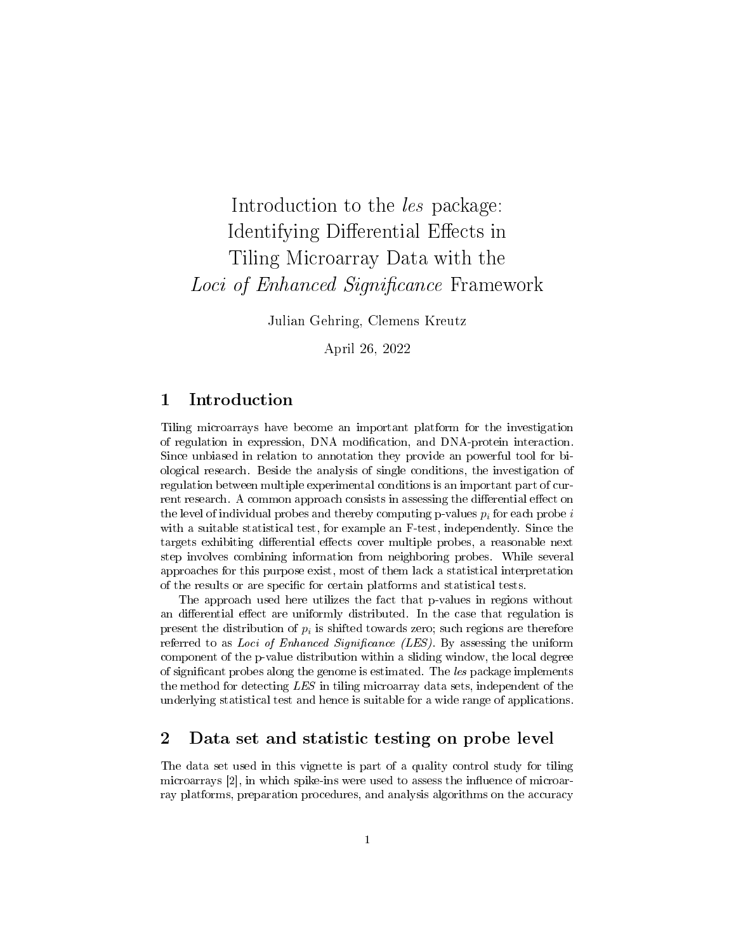# Introduction to the les package: Identifying Differential Effects in Tiling Microarray Data with the Loci of Enhanced Significance Framework

Julian Gehring, Clemens Kreutz

April 26, 2022

#### 1 Introduction

Tiling microarrays have become an important platform for the investigation of regulation in expression, DNA modification, and DNA-protein interaction. Since unbiased in relation to annotation they provide an powerful tool for biological research. Beside the analysis of single conditions, the investigation of regulation between multiple experimental conditions is an important part of current research. A common approach consists in assessing the differential effect on the level of individual probes and thereby computing p-values  $p_i$  for each probe i with a suitable statistical test, for example an F-test, independently. Since the targets exhibiting differential effects cover multiple probes, a reasonable next step involves combining information from neighboring probes. While several approaches for this purpose exist, most of them lack a statistical interpretation of the results or are specific for certain platforms and statistical tests.

The approach used here utilizes the fact that p-values in regions without an differential effect are uniformly distributed. In the case that regulation is present the distribution of  $p_i$  is shifted towards zero; such regions are therefore referred to as Loci of Enhanced Significance (LES). By assessing the uniform component of the p-value distribution within a sliding window, the local degree of signicant probes along the genome is estimated. The les package implements the method for detecting LES in tiling microarray data sets, independent of the underlying statistical test and hence is suitable for a wide range of applications.

#### 2 Data set and statistic testing on probe level

The data set used in this vignette is part of a quality control study for tiling microarrays  $[2]$ , in which spike-ins were used to assess the influence of microarray platforms, preparation procedures, and analysis algorithms on the accuracy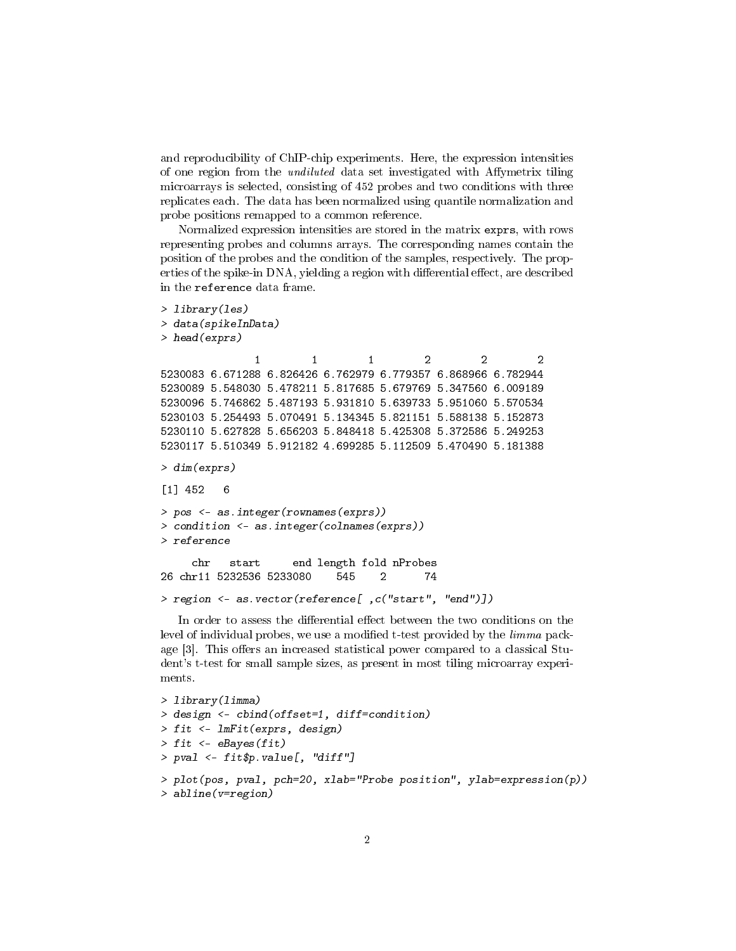and reproducibility of ChIP-chip experiments. Here, the expression intensities of one region from the *undiluted* data set investigated with Affymetrix tiling microarrays is selected, consisting of 452 probes and two conditions with three replicates each. The data has been normalized using quantile normalization and probe positions remapped to a common reference.

Normalized expression intensities are stored in the matrix exprs, with rows representing probes and columns arrays. The corresponding names contain the position of the probes and the condition of the samples, respectively. The properties of the spike-in DNA, yielding a region with differential effect, are described in the reference data frame.

```
> library(les)
> data(spikeInData)
> head(exprs)
              1 1 2 2 2
5230083 6.671288 6.826426 6.762979 6.779357 6.868966 6.782944
5230089 5.548030 5.478211 5.817685 5.679769 5.347560 6.009189
5230096 5.746862 5.487193 5.931810 5.639733 5.951060 5.570534
5230103 5.254493 5.070491 5.134345 5.821151 5.588138 5.152873
5230110 5.627828 5.656203 5.848418 5.425308 5.372586 5.249253
5230117 5.510349 5.912182 4.699285 5.112509 5.470490 5.181388
> dim(exprs)
[1] 452 6
> pos <- as.integer(rownames(exprs))
> condition <- as.integer(colnames(exprs))
> reference
    chr start end length fold nProbes
26 chr11 5232536 5233080 545 2 74
> region <- as.vector(reference[ ,c("start", "end")])
```
In order to assess the differential effect between the two conditions on the level of individual probes, we use a modified t-test provided by the *limma* package  $[3]$ . This offers an increased statistical power compared to a classical Student's t-test for small sample sizes, as present in most tiling microarray experiments.

```
> library(limma)
> design <- cbind(offset=1, diff=condition)
> fit <- lmFit(exprs, design)
> fit \leq eBayes(fit)
> pval \leq fit$p.value[, "diff"]
> plot(pos, pval, pch=20, xlab="Probe position", ylab=expression(p))
> abline(v=region)
```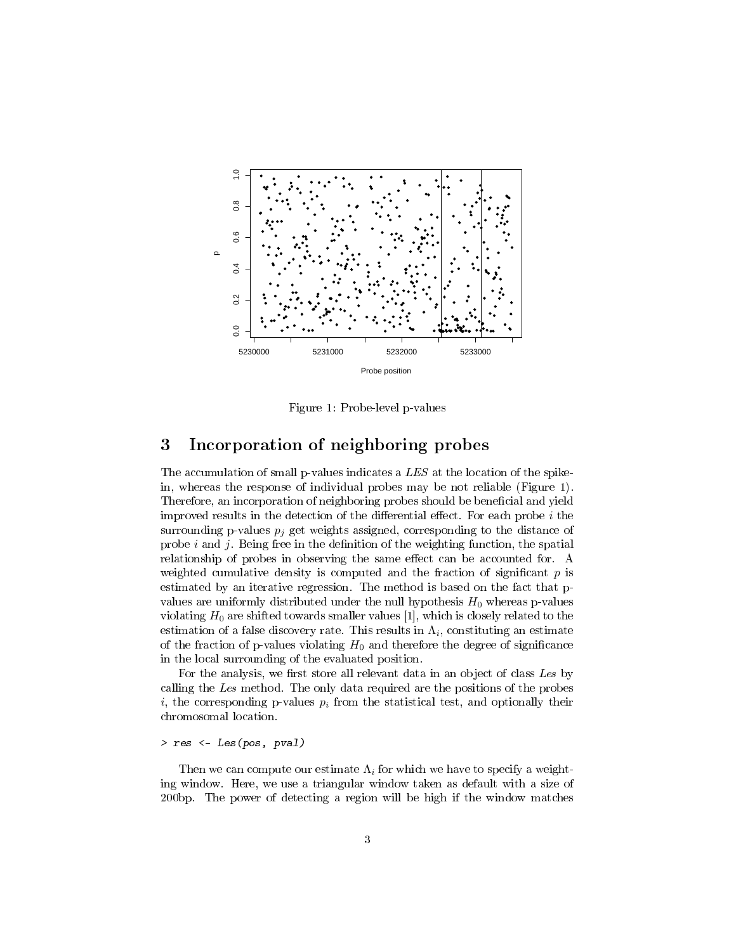

<span id="page-2-0"></span>Figure 1: Probe-level p-values

## 3 Incorporation of neighboring probes

The accumulation of small p-values indicates a LES at the location of the spikein, whereas the response of individual probes may be not reliable (Figure [1\)](#page-2-0). Therefore, an incorporation of neighboring probes should be beneficial and yield improved results in the detection of the differential effect. For each probe  $i$  the surrounding p-values  $p_i$  get weights assigned, corresponding to the distance of probe i and j. Being free in the definition of the weighting function, the spatial relationship of probes in observing the same effect can be accounted for. A weighted cumulative density is computed and the fraction of significant  $p$  is estimated by an iterative regression. The method is based on the fact that pvalues are uniformly distributed under the null hypothesis  $H_0$  whereas p-values violating  $H_0$  are shifted towards smaller values [\[1\]](#page-9-2), which is closely related to the estimation of a false discovery rate. This results in  $\Lambda_i$ , constituting an estimate of the fraction of p-values violating  $H_0$  and therefore the degree of significance in the local surrounding of the evaluated position.

For the analysis, we first store all relevant data in an object of class Les by calling the Les method. The only data required are the positions of the probes i, the corresponding p-values  $p_i$  from the statistical test, and optionally their chromosomal location.

#### > res <- Les(pos, pval)

Then we can compute our estimate  $\Lambda_i$  for which we have to specify a weighting window. Here, we use a triangular window taken as default with a size of 200bp. The power of detecting a region will be high if the window matches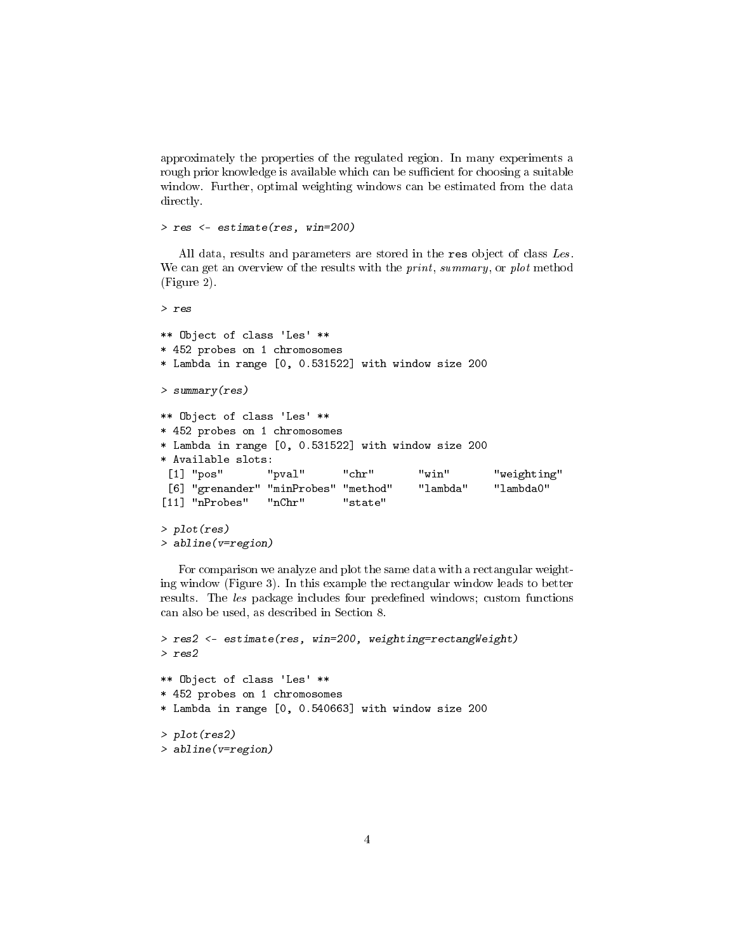approximately the properties of the regulated region. In many experiments a rough prior knowledge is available which can be sufficient for choosing a suitable window. Further, optimal weighting windows can be estimated from the data directly.

> res <- estimate(res, win=200)

All data, results and parameters are stored in the res object of class Les. We can get an overview of the results with the *print*, summary, or plot method (Figure [2\)](#page-4-0).

```
> res
** Object of class 'Les' **
* 452 probes on 1 chromosomes
* Lambda in range [0, 0.531522] with window size 200
> summary(res)
** Object of class 'Les' **
* 452 probes on 1 chromosomes
* Lambda in range [0, 0.531522] with window size 200
* Available slots:
 [1] "pos" "pval" "chr" "win" "weighting"
 [6] "grenander" "minProbes" "method" "lambda" "lambda0"
[11] "nProbes" "nChr" "state"
> plot(res)
> abline(v=region)
```
For comparison we analyze and plot the same data with a rectangular weighting window (Figure [3\)](#page-4-1). In this example the rectangular window leads to better results. The les package includes four predefined windows; custom functions can also be used, as described in Section [8.](#page-8-0)

```
> res2 <- estimate(res, win=200, weighting=rectangWeight)
> res2
** Object of class 'Les' **
* 452 probes on 1 chromosomes
* Lambda in range [0, 0.540663] with window size 200
> plot(res2)
> abline(v=region)
```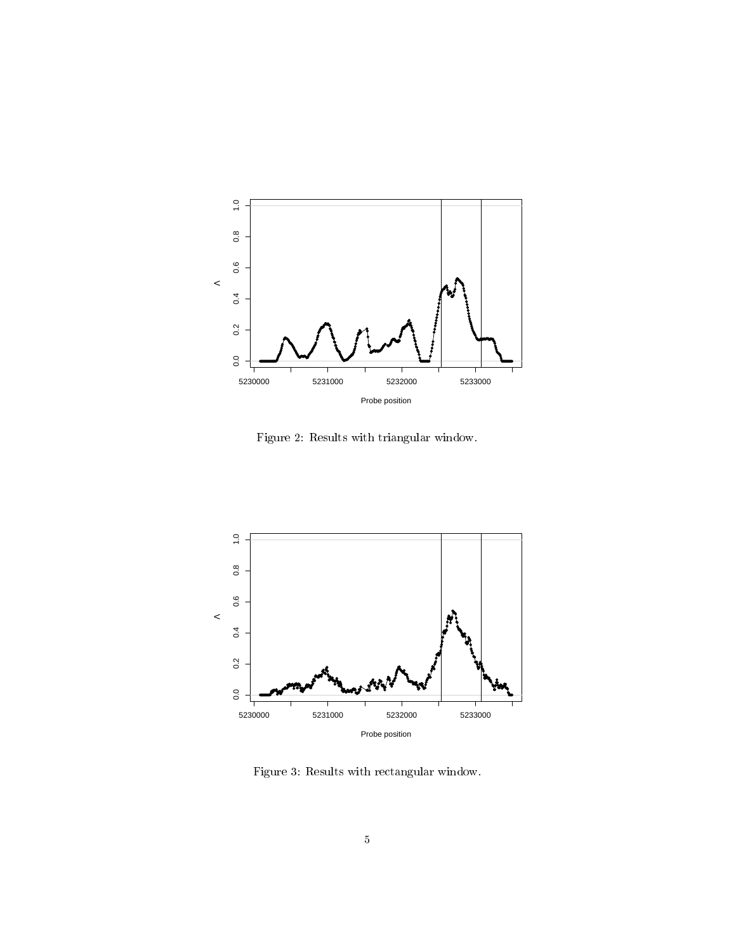

<span id="page-4-0"></span>Figure 2: Results with triangular window.



<span id="page-4-1"></span>Figure 3: Results with rectangular window.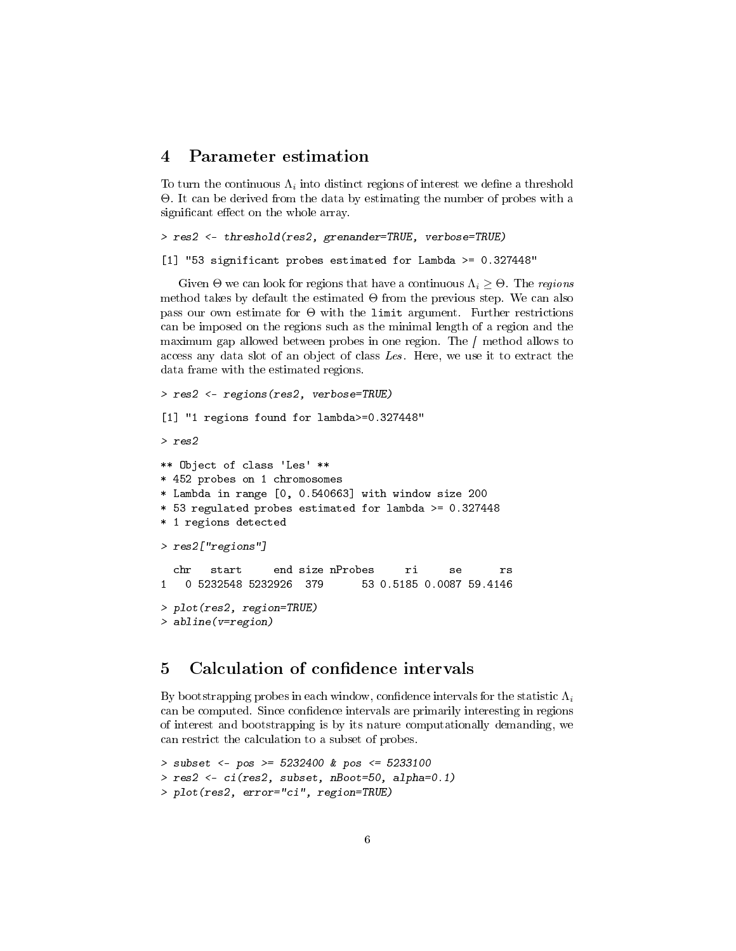#### 4 Parameter estimation

To turn the continuous  $\Lambda_i$  into distinct regions of interest we define a threshold Θ. It can be derived from the data by estimating the number of probes with a significant effect on the whole array.

> res2 <- threshold(res2, grenander=TRUE, verbose=TRUE)

[1] "53 significant probes estimated for Lambda >= 0.327448"

Given  $\Theta$  we can look for regions that have a continuous  $\Lambda_i \geq \Theta$ . The regions method takes by default the estimated  $\Theta$  from the previous step. We can also pass our own estimate for  $\Theta$  with the limit argument. Further restrictions can be imposed on the regions such as the minimal length of a region and the maximum gap allowed between probes in one region. The  $\int$  method allows to access any data slot of an object of class Les. Here, we use it to extract the data frame with the estimated regions.

```
> res2 <- regions(res2, verbose=TRUE)
[1] "1 regions found for lambda>=0.327448"
> res2
** Object of class 'Les' **
* 452 probes on 1 chromosomes
* Lambda in range [0, 0.540663] with window size 200
* 53 regulated probes estimated for lambda >= 0.327448
* 1 regions detected
> res2["regions"]
  chr start end size nProbes ri se rs
1 0 5232548 5232926 379 53 0.5185 0.0087 59.4146
> plot(res2, region=TRUE)
> abline(v=region)
```
#### 5 Calculation of confidence intervals

By bootstrapping probes in each window, confidence intervals for the statistic  $\Lambda_i$ can be computed. Since confidence intervals are primarily interesting in regions of interest and bootstrapping is by its nature computationally demanding, we can restrict the calculation to a subset of probes.

```
> subset <- pos >= 5232400 & pos <= 5233100
> res2 <- ci(res2, subset, nBoot=50, alpha=0.1)
> plot(res2, error="ci", region=TRUE)
```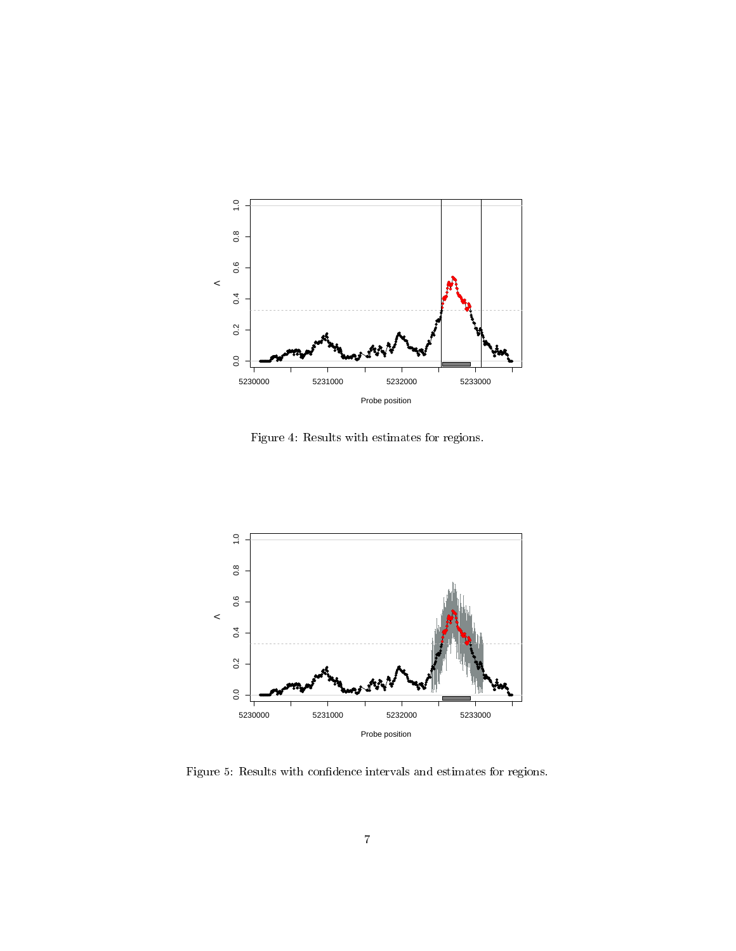

Figure 4: Results with estimates for regions.



Figure 5: Results with confidence intervals and estimates for regions.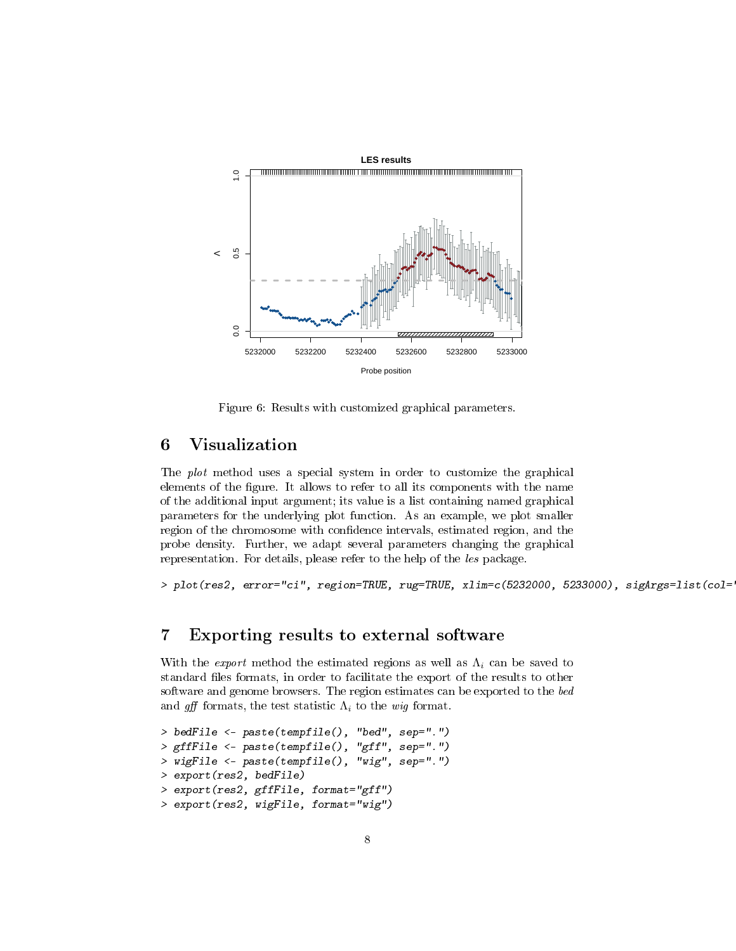

Figure 6: Results with customized graphical parameters.

# 6 Visualization

The plot method uses a special system in order to customize the graphical elements of the figure. It allows to refer to all its components with the name of the additional input argument; its value is a list containing named graphical parameters for the underlying plot function. As an example, we plot smaller region of the chromosome with confidence intervals, estimated region, and the probe density. Further, we adapt several parameters changing the graphical representation. For details, please refer to the help of the les package.

> plot(res2, error="ci", region=TRUE, rug=TRUE, xlim=c(5232000, 5233000), sigArgs=list(col=

### 7 Exporting results to external software

With the *export* method the estimated regions as well as  $\Lambda_i$  can be saved to standard files formats, in order to facilitate the export of the results to other software and genome browsers. The region estimates can be exported to the bed and gff formats, the test statistic  $\Lambda_i$  to the wig format.

```
> bedFile <- paste(tempfile(), "bed", sep=".")
> gffFile <- paste(tempfile(), "gff", sep=".")
> wigFile <- paste(tempfile(), "wig", sep=".")
> export(res2, bedFile)
> export(res2, gffFile, format="gff")
> export(res2, wigFile, format="wig")
```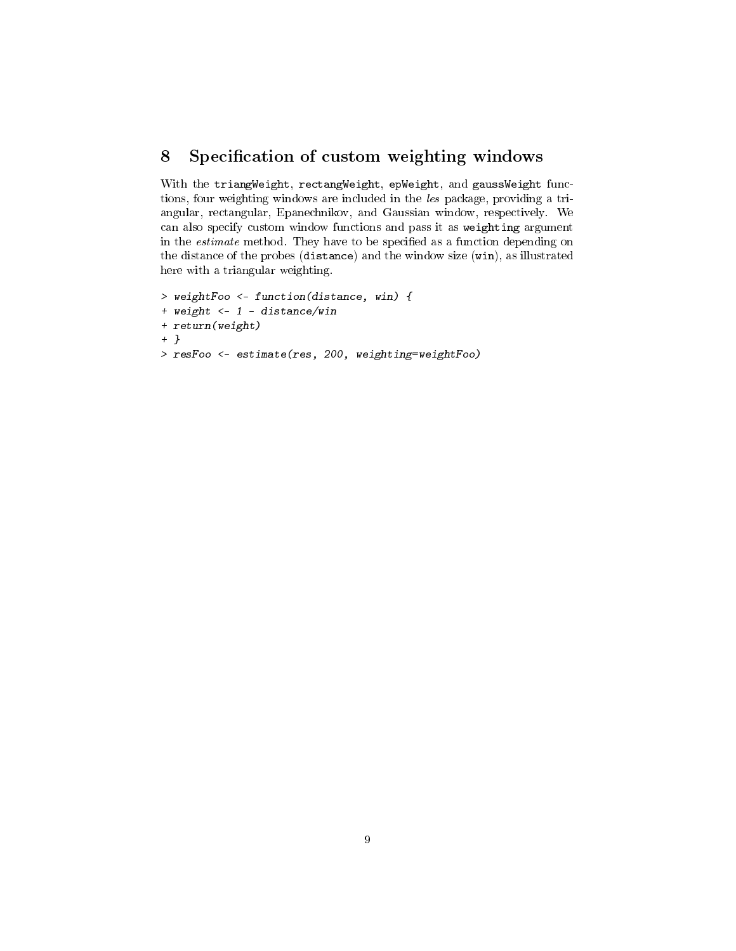### <span id="page-8-0"></span>8 Specification of custom weighting windows

With the triangWeight, rectangWeight, epWeight, and gaussWeight functions, four weighting windows are included in the les package, providing a triangular, rectangular, Epanechnikov, and Gaussian window, respectively. We can also specify custom window functions and pass it as weighting argument in the *estimate* method. They have to be specified as a function depending on the distance of the probes (distance) and the window size (win), as illustrated here with a triangular weighting.

```
> weightFoo <- function(distance, win) {
+ weight <- 1 - distance/win
+ return(weight)
+ }
> resFoo <- estimate(res, 200, weighting=weightFoo)
```